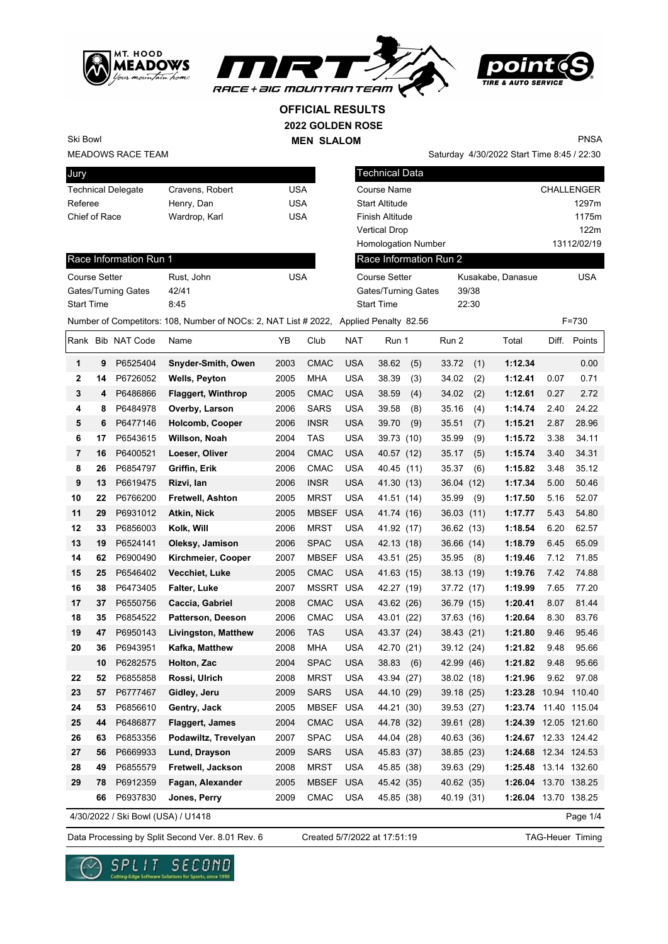





Saturday 4/30/2022 Start Time 8:45 / 22:30

**OFFICIAL RESULTS**

**2022 GOLDEN ROSE**

**MEN SLALOM** 

PNSA

MEADOWS RACE TEAM Ski Bowl

| Jury                      |                 |     |
|---------------------------|-----------------|-----|
| <b>Technical Delegate</b> | Cravens, Robert | USA |
| Referee                   | Henry, Dan      | USA |
| Chief of Race             | Wardrop, Karl   | USA |
|                           |                 |     |

| Jury                                                                                  |                 |            | <b>Technical Data</b>      |                   |                   |
|---------------------------------------------------------------------------------------|-----------------|------------|----------------------------|-------------------|-------------------|
| <b>Technical Delegate</b>                                                             | Cravens, Robert | <b>USA</b> | Course Name                |                   | <b>CHALLENGER</b> |
| Referee                                                                               | Henry, Dan      | <b>USA</b> | <b>Start Altitude</b>      |                   | 1297m             |
| Chief of Race                                                                         | Wardrop, Karl   | <b>USA</b> | Finish Altitude            |                   | 1175m             |
|                                                                                       |                 |            | <b>Vertical Drop</b>       |                   | 122m              |
|                                                                                       |                 |            | <b>Homologation Number</b> |                   | 13112/02/19       |
| Race Information Run 1                                                                |                 |            | Race Information Run 2     |                   |                   |
| <b>Course Setter</b>                                                                  | Rust. John      | <b>USA</b> | Course Setter              | Kusakabe, Danasue | <b>USA</b>        |
| Gates/Turning Gates                                                                   | 42/41           |            | Gates/Turning Gates        | 39/38             |                   |
| <b>Start Time</b>                                                                     | 8:45            |            | <b>Start Time</b>          | 22:30             |                   |
| Number of Competitors: 108, Number of NOCs: 2, NAT List # 2022, Applied Penalty 82.56 |                 |            |                            |                   | $F = 730$         |

| Course Setter              | Rust, John | USA |
|----------------------------|------------|-----|
| <b>Gates/Turning Gates</b> | 42/41      |     |
| <b>Start Time</b>          | 8:45       |     |

|                |    | Rank Bib NAT Code                  | Name                       | YΒ   | Club         | NAT        | Run 1        | Run 2      |      | Total                | Diff. | Points       |
|----------------|----|------------------------------------|----------------------------|------|--------------|------------|--------------|------------|------|----------------------|-------|--------------|
| 1              | 9  | P6525404                           | Snyder-Smith, Owen         | 2003 | <b>CMAC</b>  | <b>USA</b> | 38.62<br>(5) | 33.72      | (1)  | 1:12.34              |       | 0.00         |
| $\mathbf{2}$   | 14 | P6726052                           | <b>Wells, Peyton</b>       | 2005 | <b>MHA</b>   | <b>USA</b> | 38.39<br>(3) | 34.02      | (2)  | 1:12.41              | 0.07  | 0.71         |
| 3              | 4  | P6486866                           | <b>Flaggert, Winthrop</b>  | 2005 | <b>CMAC</b>  | <b>USA</b> | 38.59<br>(4) | 34.02      | (2)  | 1:12.61              | 0.27  | 2.72         |
| 4              | 8  | P6484978                           | Overby, Larson             | 2006 | SARS         | <b>USA</b> | 39.58<br>(8) | 35.16      | (4)  | 1:14.74              | 2.40  | 24.22        |
| 5              | 6  | P6477146                           | Holcomb, Cooper            | 2006 | INSR         | <b>USA</b> | 39.70<br>(9) | 35.51      | (7)  | 1:15.21              | 2.87  | 28.96        |
| 6              | 17 | P6543615                           | Willson, Noah              | 2004 | <b>TAS</b>   | <b>USA</b> | 39.73 (10)   | 35.99      | (9)  | 1:15.72              | 3.38  | 34.11        |
| $\overline{7}$ | 16 | P6400521                           | Loeser, Oliver             | 2004 | <b>CMAC</b>  | <b>USA</b> | 40.57 (12)   | 35.17      | (5)  | 1:15.74              | 3.40  | 34.31        |
| 8              | 26 | P6854797                           | Griffin, Erik              | 2006 | CMAC         | <b>USA</b> | 40.45 (11)   | 35.37      | (6)  | 1:15.82              | 3.48  | 35.12        |
| 9              | 13 | P6619475                           | Rizvi, Ian                 | 2006 | <b>INSR</b>  | USA        | 41.30 (13)   | 36.04      | (12) | 1:17.34              | 5.00  | 50.46        |
| 10             | 22 | P6766200                           | Fretwell, Ashton           | 2005 | <b>MRST</b>  | <b>USA</b> | 41.51 (14)   | 35.99      | (9)  | 1:17.50              | 5.16  | 52.07        |
| 11             | 29 | P6931012                           | Atkin, Nick                | 2005 | <b>MBSEF</b> | <b>USA</b> | 41.74 (16)   | 36.03 (11) |      | 1:17.77              | 5.43  | 54.80        |
| 12             | 33 | P6856003                           | Kolk, Will                 | 2006 | <b>MRST</b>  | <b>USA</b> | 41.92 (17)   | 36.62 (13) |      | 1:18.54              | 6.20  | 62.57        |
| 13             | 19 | P6524141                           | Oleksy, Jamison            | 2006 | <b>SPAC</b>  | <b>USA</b> | 42.13 (18)   | 36.66 (14) |      | 1:18.79              | 6.45  | 65.09        |
| 14             | 62 | P6900490                           | Kirchmeier, Cooper         | 2007 | <b>MBSEF</b> | USA        | 43.51 (25)   | 35.95      | (8)  | 1:19.46              | 7.12  | 71.85        |
| 15             | 25 | P6546402                           | Vecchiet, Luke             | 2005 | <b>CMAC</b>  | <b>USA</b> | 41.63 (15)   | 38.13 (19) |      | 1:19.76              | 7.42  | 74.88        |
| 16             | 38 | P6473405                           | Falter, Luke               | 2007 | MSSRT        | <b>USA</b> | 42.27 (19)   | 37.72 (17) |      | 1:19.99              | 7.65  | 77.20        |
| 17             | 37 | P6550756                           | Caccia, Gabriel            | 2008 | <b>CMAC</b>  | <b>USA</b> | 43.62 (26)   | 36.79 (15) |      | 1:20.41              | 8.07  | 81.44        |
| 18             | 35 | P6854522                           | <b>Patterson, Deeson</b>   | 2006 | <b>CMAC</b>  | <b>USA</b> | 43.01 (22)   | 37.63 (16) |      | 1:20.64              | 8.30  | 83.76        |
| 19             | 47 | P6950143                           | <b>Livingston, Matthew</b> | 2006 | TAS          | <b>USA</b> | 43.37 (24)   | 38.43 (21) |      | 1:21.80              | 9.46  | 95.46        |
| 20             | 36 | P6943951                           | Kafka, Matthew             | 2008 | MHA          | USA        | 42.70 (21)   | 39.12 (24) |      | 1:21.82              | 9.48  | 95.66        |
|                | 10 | P6282575                           | Holton, Zac                | 2004 | <b>SPAC</b>  | <b>USA</b> | 38.83<br>(6) | 42.99 (46) |      | 1:21.82              | 9.48  | 95.66        |
| 22             | 52 | P6855858                           | Rossi, Ulrich              | 2008 | <b>MRST</b>  | <b>USA</b> | 43.94 (27)   | 38.02 (18) |      | 1:21.96              | 9.62  | 97.08        |
| 23             | 57 | P6777467                           | Gidley, Jeru               | 2009 | <b>SARS</b>  | USA        | 44.10 (29)   | 39.18 (25) |      | 1:23.28              |       | 10.94 110.40 |
| 24             | 53 | P6856610                           | Gentry, Jack               | 2005 | <b>MBSEF</b> | <b>USA</b> | 44.21 (30)   | 39.53      | (27) | 1:23.74              |       | 11.40 115.04 |
| 25             | 44 | P6486877                           | <b>Flaggert, James</b>     | 2004 | <b>CMAC</b>  | <b>USA</b> | 44.78 (32)   | 39.61 (28) |      | 1:24.39 12.05 121.60 |       |              |
| 26             | 63 | P6853356                           | Podawiltz, Trevelyan       | 2007 | <b>SPAC</b>  | <b>USA</b> | 44.04 (28)   | 40.63 (36) |      | 1:24.67 12.33 124.42 |       |              |
| 27             | 56 | P6669933                           | Lund, Drayson              | 2009 | <b>SARS</b>  | <b>USA</b> | 45.83 (37)   | 38.85 (23) |      | 1:24.68 12.34 124.53 |       |              |
| 28             | 49 | P6855579                           | Fretwell, Jackson          | 2008 | <b>MRST</b>  | USA        | 45.85 (38)   | 39.63 (29) |      | 1:25.48              |       | 13.14 132.60 |
| 29             | 78 | P6912359                           | Fagan, Alexander           | 2005 | MBSEF        | <b>USA</b> | 45.42 (35)   | 40.62 (35) |      | 1:26.04 13.70 138.25 |       |              |
|                | 66 | P6937830                           | Jones, Perry               | 2009 | <b>CMAC</b>  | <b>USA</b> | 45.85 (38)   | 40.19 (31) |      | 1:26.04 13.70 138.25 |       |              |
|                |    | 4/30/2022 / Ski Bowl (USA) / U1418 |                            |      |              |            |              |            |      |                      |       | Page 1/4     |

Page 1/4

Data Processing by Split Second Ver. 8.01 Rev. 6 Created 5/7/2022 at 17:51:19 TAG-Heuer Timing

Created 5/7/2022 at 17:51:19

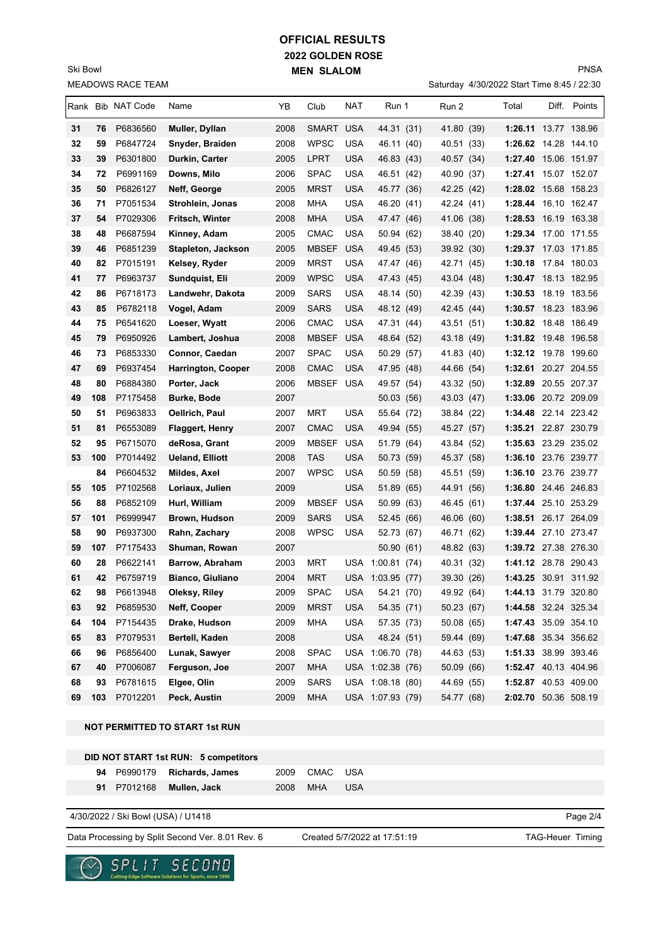## **2022 GOLDEN ROSE MEN SLALOM OFFICIAL RESULTS**

MEADOWS RACE TEAM Ski Bowl

Saturday 4/30/2022 Start Time 8:45 / 22:30

|          |          | Rank Bib NAT Code    | Name                              | ΥB           | Club                     | NAT        | Run 1                    | Run 2                    | Total                                        | Diff. Points |
|----------|----------|----------------------|-----------------------------------|--------------|--------------------------|------------|--------------------------|--------------------------|----------------------------------------------|--------------|
|          |          |                      |                                   |              |                          |            |                          |                          |                                              |              |
| 31<br>32 | 76<br>59 | P6836560<br>P6847724 | Muller, Dyllan<br>Snyder, Braiden | 2008<br>2008 | SMART USA<br><b>WPSC</b> | USA        | 44.31 (31)<br>46.11 (40) | 41.80 (39)<br>40.51 (33) | 1:26.11 13.77 138.96<br>1:26.62 14.28 144.10 |              |
| 33       | 39       | P6301800             | Durkin, Carter                    | 2005         | <b>LPRT</b>              | USA        | 46.83 (43)               | 40.57 (34)               | 1:27.40 15.06 151.97                         |              |
| 34       | 72       | P6991169             | Downs, Milo                       | 2006         | <b>SPAC</b>              | <b>USA</b> | 46.51 (42)               | 40.90 (37)               | 1:27.41 15.07 152.07                         |              |
| 35       | 50       | P6826127             | Neff, George                      | 2005         | <b>MRST</b>              | USA        | 45.77 (36)               | 42.25 (42)               | 1:28.02 15.68 158.23                         |              |
| 36       | 71       | P7051534             | Strohlein, Jonas                  | 2008         | <b>MHA</b>               | <b>USA</b> | 46.20 (41)               | 42.24 (41)               | 1:28.44                                      | 16.10 162.47 |
| 37       | 54       | P7029306             | Fritsch, Winter                   | 2008         | <b>MHA</b>               | <b>USA</b> | 47.47 (46)               | 41.06 (38)               | 1:28.53 16.19 163.38                         |              |
| 38       | 48       | P6687594             | Kinney, Adam                      | 2005         | <b>CMAC</b>              | <b>USA</b> | 50.94 (62)               | 38.40 (20)               | 1:29.34 17.00 171.55                         |              |
| 39       | 46       | P6851239             | <b>Stapleton, Jackson</b>         | 2005         | <b>MBSEF</b>             | <b>USA</b> | 49.45 (53)               | 39.92 (30)               | 1:29.37 17.03 171.85                         |              |
| 40       | 82       | P7015191             | Kelsey, Ryder                     | 2009         | <b>MRST</b>              | USA        | 47.47 (46)               | 42.71<br>(45)            | 1:30.18 17.84 180.03                         |              |
| 41       | 77       | P6963737             | Sundquist, Eli                    | 2009         | <b>WPSC</b>              | USA        | 47.43 (45)               | 43.04 (48)               | 1:30.47 18.13 182.95                         |              |
| 42       | 86       | P6718173             | Landwehr, Dakota                  | 2009         | <b>SARS</b>              | USA        | 48.14 (50)               | 42.39 (43)               | 1:30.53 18.19 183.56                         |              |
| 43       | 85       | P6782118             | Vogel, Adam                       | 2009         | <b>SARS</b>              | USA        | 48.12 (49)               | 42.45 (44)               | 1:30.57 18.23 183.96                         |              |
| 44       | 75       | P6541620             | Loeser, Wyatt                     | 2006         | CMAC                     | USA        | 47.31 (44)               | 43.51 (51)               | 1:30.82 18.48 186.49                         |              |
| 45       | 79       | P6950926             | Lambert, Joshua                   | 2008         | <b>MBSEF</b>             | <b>USA</b> | 48.64 (52)               | 43.18 (49)               | 1:31.82 19.48 196.58                         |              |
| 46       | 73       | P6853330             | Connor, Caedan                    | 2007         | <b>SPAC</b>              | <b>USA</b> | 50.29 (57)               | 41.83 (40)               | 1:32.12 19.78 199.60                         |              |
| 47       | 69       | P6937454             | <b>Harrington, Cooper</b>         | 2008         | <b>CMAC</b>              | <b>USA</b> | 47.95 (48)               | 44.66 (54)               | 1:32.61 20.27 204.55                         |              |
| 48       | 80       | P6884380             | Porter, Jack                      | 2006         | MBSEF USA                |            | 49.57 (54)               | 43.32 (50)               | 1:32.89 20.55 207.37                         |              |
| 49       | 108      | P7175458             | <b>Burke, Bode</b>                | 2007         |                          |            | 50.03(56)                | 43.03 (47)               | 1:33.06 20.72 209.09                         |              |
| 50       | 51       | P6963833             | Oellrich, Paul                    | 2007         | MRT                      | <b>USA</b> | 55.64 (72)               | 38.84 (22)               | 1:34.48 22.14 223.42                         |              |
| 51       | 81       | P6553089             | <b>Flaggert, Henry</b>            | 2007         | <b>CMAC</b>              | <b>USA</b> | 49.94 (55)               | 45.27 (57)               | 1:35.21 22.87 230.79                         |              |
| 52       | 95       | P6715070             | deRosa, Grant                     | 2009         | <b>MBSEF</b>             | <b>USA</b> | 51.79 (64)               | 43.84 (52)               | 1:35.63 23.29 235.02                         |              |
| 53       | 100      | P7014492             | <b>Ueland, Elliott</b>            | 2008         | TAS                      | <b>USA</b> | 50.73 (59)               | 45.37 (58)               | 1:36.10 23.76 239.77                         |              |
|          | 84       | P6604532             | Mildes, Axel                      | 2007         | WPSC                     | <b>USA</b> | 50.59 (58)               | 45.51<br>(59)            | 1:36.10                                      | 23.76 239.77 |
| 55       | 105      | P7102568             | Loriaux, Julien                   | 2009         |                          | <b>USA</b> | 51.89 (65)               | 44.91 (56)               | 1:36.80 24.46 246.83                         |              |
| 56       | 88       | P6852109             | Hurl, William                     | 2009         | <b>MBSEF</b>             | <b>USA</b> | 50.99 (63)               | 46.45 (61)               | 1:37.44 25.10 253.29                         |              |
| 57       | 101      | P6999947             | Brown, Hudson                     | 2009         | <b>SARS</b>              | <b>USA</b> | 52.45 (66)               | 46.06<br>(60)            | 1:38.51 26.17 264.09                         |              |
| 58       | 90       | P6937300             | Rahn, Zachary                     | 2008         | <b>WPSC</b>              | USA        | 52.73 (67)               | 46.71<br>(62)            | 1:39.44 27.10 273.47                         |              |
| 59       | 107      | P7175433             | Shuman, Rowan                     | 2007         |                          |            | 50.90 (61)               | 48.82 (63)               | 1:39.72 27.38 276.30                         |              |
| 60       | 28       | P6622141             | Barrow, Abraham                   | 2003         | MRT                      |            | USA 1:00.81 (74)         | 40.31<br>(32)            | 1:41.12 28.78 290.43                         |              |
| 61       | 42       | P6759719             | <b>Bianco, Giuliano</b>           | 2004         | MRT                      |            | USA 1:03.95 (77)         | 39.30 (26)               | 1:43.25 30.91 311.92                         |              |
| 62       | 98       | P6613948             | Oleksy, Riley                     | 2009         | <b>SPAC</b>              | USA        | 54.21 (70)               | 49.92 (64)               | 1:44.13 31.79 320.80                         |              |
| 63       | 92       | P6859530             | Neff, Cooper                      | 2009         | <b>MRST</b>              | USA        | 54.35 (71)               | 50.23(67)                | 1:44.58 32.24 325.34                         |              |
| 64       | 104      | P7154435             | Drake, Hudson                     | 2009         | MHA                      | USA        | 57.35 (73)               | 50.08 (65)               | 1:47.43 35.09 354.10                         |              |
| 65       | 83       | P7079531             | Bertell, Kaden                    | 2008         |                          | <b>USA</b> | 48.24 (51)               | 59.44 (69)               | 1:47.68 35.34 356.62                         |              |
| 66       | 96       | P6856400             | Lunak, Sawyer                     | 2008         | <b>SPAC</b>              |            | USA 1:06.70 (78)         | 44.63 (53)               | 1:51.33 38.99 393.46                         |              |
| 67       | 40       | P7006087             | Ferguson, Joe                     | 2007         | <b>MHA</b>               |            | USA 1:02.38 (76)         | 50.09 (66)               | 1:52.47 40.13 404.96                         |              |
| 68       | 93       | P6781615             | Elgee, Olin                       | 2009         | <b>SARS</b>              |            | USA 1:08.18 (80)         | 44.69 (55)               | 1:52.87 40.53 409.00                         |              |
| 69       | 103      | P7012201             | Peck, Austin                      | 2009         | <b>MHA</b>               |            | USA 1:07.93 (79)         | 54.77 (68)               | 2:02.70 50.36 508.19                         |              |

## **NOT PERMITTED TO START 1st RUN**

|  | DID NOT START 1st RUN: 5 competitors |               |     |
|--|--------------------------------------|---------------|-----|
|  | 94 P6990179 Richards, James          | 2009 CMAC USA |     |
|  | <b>91 P7012168 Mullen, Jack</b>      | 2008 MHA      | USA |

4/30/2022 / Ski Bowl (USA) / U1418

Data Processing by Split Second Ver. 8.01 Rev. 6 Created 5/7/2022 at 17:51:19 TAG-Heuer Timing

e Salutians for Sports, since 1990

Created 5/7/2022 at 17:51:19

Page 2/4

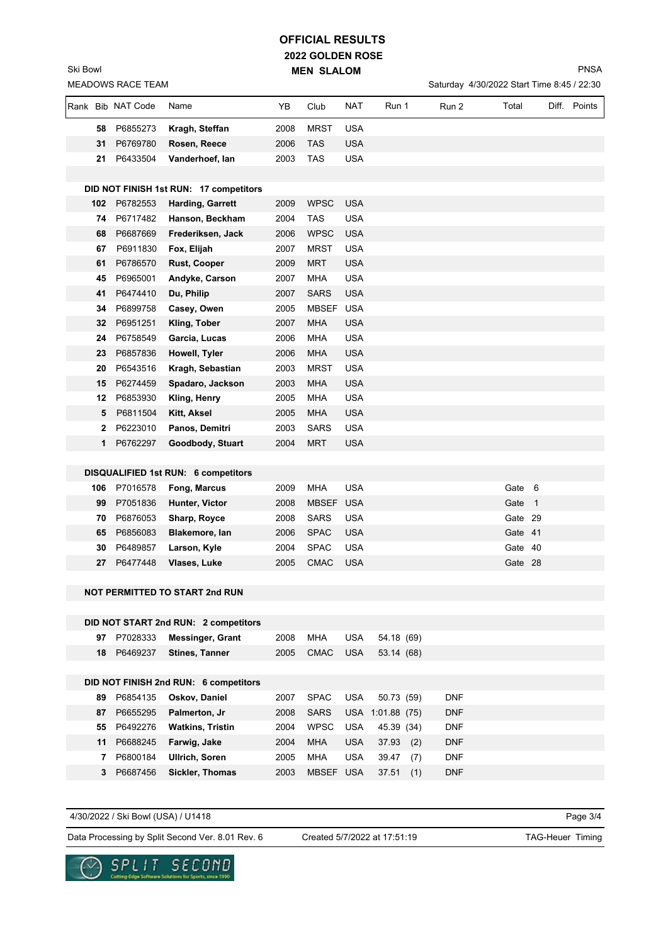## **2022 GOLDEN ROSE MEN SLALOM OFFICIAL RESULTS**

Ski Bowl

Saturday 4/30/2022 Start Time 8:45 / 22:30

|    | Rank Bib NAT Code       | Name                                       | YΒ           | Club              | NAT                      | Run 1          |     | Run 2                    | Total                  | Diff. Points |
|----|-------------------------|--------------------------------------------|--------------|-------------------|--------------------------|----------------|-----|--------------------------|------------------------|--------------|
| 58 | P6855273                | Kragh, Steffan                             | 2008         | <b>MRST</b>       | <b>USA</b>               |                |     |                          |                        |              |
| 31 | P6769780                | Rosen, Reece                               | 2006         | <b>TAS</b>        | <b>USA</b>               |                |     |                          |                        |              |
| 21 | P6433504                | Vanderhoef, lan                            | 2003         | <b>TAS</b>        | <b>USA</b>               |                |     |                          |                        |              |
|    |                         |                                            |              |                   |                          |                |     |                          |                        |              |
|    |                         | DID NOT FINISH 1st RUN: 17 competitors     |              |                   |                          |                |     |                          |                        |              |
|    | 102 P6782553            | <b>Harding, Garrett</b>                    | 2009         | <b>WPSC</b>       | <b>USA</b>               |                |     |                          |                        |              |
| 74 | P6717482                | Hanson, Beckham                            | 2004         | <b>TAS</b>        | <b>USA</b>               |                |     |                          |                        |              |
| 68 | P6687669                | Frederiksen, Jack                          | 2006         | <b>WPSC</b>       | <b>USA</b>               |                |     |                          |                        |              |
| 67 | P6911830                | Fox, Elijah                                | 2007         | <b>MRST</b>       | <b>USA</b>               |                |     |                          |                        |              |
| 61 | P6786570                | <b>Rust, Cooper</b>                        | 2009         | <b>MRT</b>        | <b>USA</b>               |                |     |                          |                        |              |
| 45 | P6965001                | Andyke, Carson                             | 2007         | <b>MHA</b>        | <b>USA</b>               |                |     |                          |                        |              |
| 41 | P6474410                | Du, Philip                                 | 2007         | <b>SARS</b>       | <b>USA</b>               |                |     |                          |                        |              |
| 34 | P6899758                | Casey, Owen                                | 2005         | MBSEF USA         |                          |                |     |                          |                        |              |
| 32 | P6951251                | Kling, Tober                               | 2007         | <b>MHA</b>        | <b>USA</b>               |                |     |                          |                        |              |
| 24 | P6758549                | Garcia, Lucas                              | 2006         | <b>MHA</b>        | <b>USA</b>               |                |     |                          |                        |              |
| 23 | P6857836                | Howell, Tyler                              | 2006         | <b>MHA</b>        | <b>USA</b>               |                |     |                          |                        |              |
| 20 | P6543516                | Kragh, Sebastian                           | 2003         | <b>MRST</b>       | <b>USA</b>               |                |     |                          |                        |              |
| 15 | P6274459                | Spadaro, Jackson                           | 2003         | <b>MHA</b>        | <b>USA</b>               |                |     |                          |                        |              |
| 12 | P6853930                | Kling, Henry                               | 2005         | MHA               | <b>USA</b>               |                |     |                          |                        |              |
| 5  | P6811504                | Kitt, Aksel                                | 2005         | <b>MHA</b>        | <b>USA</b>               |                |     |                          |                        |              |
| 2  | P6223010                | Panos, Demitri                             | 2003         | <b>SARS</b>       | <b>USA</b>               |                |     |                          |                        |              |
| 1  | P6762297                | Goodbody, Stuart                           | 2004         | <b>MRT</b>        | <b>USA</b>               |                |     |                          |                        |              |
|    |                         |                                            |              |                   |                          |                |     |                          |                        |              |
|    |                         | <b>DISQUALIFIED 1st RUN: 6 competitors</b> |              |                   |                          |                |     |                          |                        |              |
|    | 106 P7016578            | <b>Fong, Marcus</b>                        | 2009         | <b>MHA</b>        | <b>USA</b>               |                |     |                          | Gate 6                 |              |
| 99 | P7051836                | Hunter, Victor                             | 2008         | <b>MBSEF</b>      | <b>USA</b>               |                |     |                          | Gate<br>$\overline{1}$ |              |
| 70 | P6876053                | Sharp, Royce                               | 2008         | <b>SARS</b>       | <b>USA</b>               |                |     |                          | Gate 29                |              |
| 65 | P6856083                | Blakemore, lan                             | 2006         | <b>SPAC</b>       | <b>USA</b>               |                |     |                          | Gate 41                |              |
| 30 | P6489857                | Larson, Kyle                               | 2004         | <b>SPAC</b>       | <b>USA</b>               |                |     |                          | Gate 40                |              |
| 27 | P6477448                | Vlases, Luke                               | 2005         | <b>CMAC</b>       | <b>USA</b>               |                |     |                          | Gate 28                |              |
|    |                         |                                            |              |                   |                          |                |     |                          |                        |              |
|    |                         | NOT PERMITTED TO START 2nd RUN             |              |                   |                          |                |     |                          |                        |              |
|    |                         |                                            |              |                   |                          |                |     |                          |                        |              |
|    |                         | DID NOT START 2nd RUN: 2 competitors       |              |                   |                          |                |     |                          |                        |              |
| 97 | P7028333                | <b>Messinger, Grant</b>                    | 2008         | MHA               | <b>USA</b>               | 54.18 (69)     |     |                          |                        |              |
|    | 18 P6469237             | <b>Stines, Tanner</b>                      | 2005         | <b>CMAC</b>       | <b>USA</b>               | 53.14 (68)     |     |                          |                        |              |
|    |                         |                                            |              |                   |                          |                |     |                          |                        |              |
|    |                         | DID NOT FINISH 2nd RUN: 6 competitors      |              |                   |                          |                |     |                          |                        |              |
| 89 | P6854135                | Oskov, Daniel                              | 2007         | <b>SPAC</b>       | <b>USA</b>               | 50.73 (59)     |     | <b>DNF</b>               |                        |              |
| 87 | P6655295                | Palmerton, Jr                              | 2008         | <b>SARS</b>       | <b>USA</b>               | 1:01.88(75)    |     | <b>DNF</b>               |                        |              |
| 55 | P6492276                | <b>Watkins, Tristin</b>                    | 2004         | <b>WPSC</b>       | <b>USA</b>               | 45.39 (34)     |     | <b>DNF</b>               |                        |              |
|    | 11 P6688245<br>P6800184 | Farwig, Jake<br><b>Ullrich, Soren</b>      | 2004<br>2005 | <b>MHA</b><br>MHA | <b>USA</b><br><b>USA</b> | 37.93<br>39.47 | (2) | <b>DNF</b><br><b>DNF</b> |                        |              |
| 7  |                         |                                            |              |                   |                          |                | (7) |                          |                        |              |
| 3  | P6687456                | Sickler, Thomas                            | 2003         | MBSEF USA         |                          | 37.51          | (1) | <b>DNF</b>               |                        |              |

4/30/2022 / Ski Bowl (USA) / U1418

SPLIT

◡

Data Processing by Split Second Ver. 8.01 Rev. 6 Created 5/7/2022 at 17:51:19 TAG-Heuer Timing

SECOND

a for Sports, since 1990

Created 5/7/2022 at 17:51:19

Page 3/4